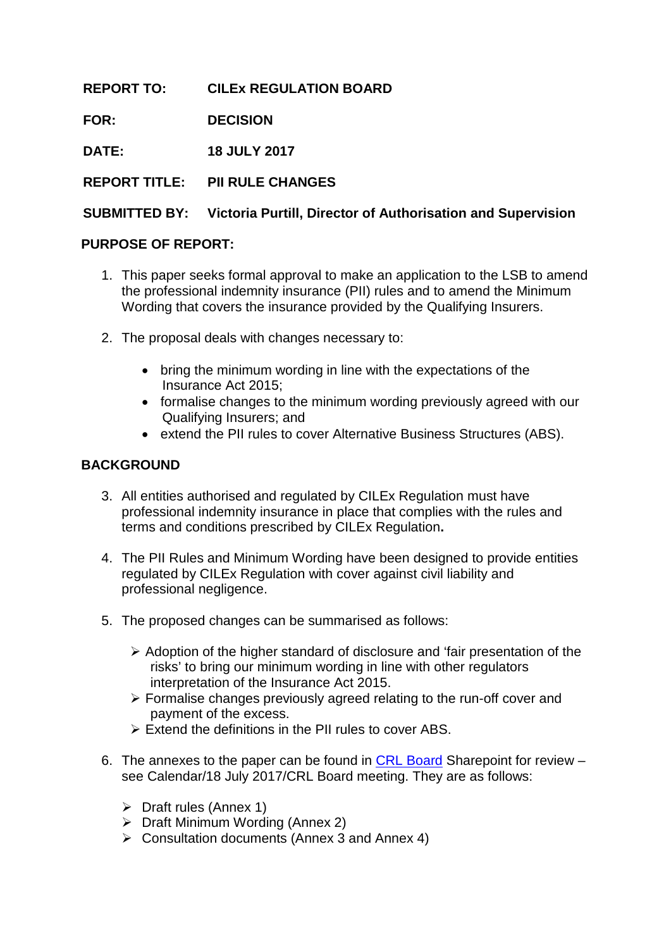**REPORT TO: CILEx REGULATION BOARD**

**FOR: DECISION**

**DATE: 18 JULY 2017**

**REPORT TITLE: PII RULE CHANGES**

### **SUBMITTED BY: Victoria Purtill, Director of Authorisation and Supervision**

### **PURPOSE OF REPORT:**

- 1. This paper seeks formal approval to make an application to the LSB to amend the professional indemnity insurance (PII) rules and to amend the Minimum Wording that covers the insurance provided by the Qualifying Insurers.
- 2. The proposal deals with changes necessary to:
	- bring the minimum wording in line with the expectations of the Insurance Act 2015;
	- formalise changes to the minimum wording previously agreed with our Qualifying Insurers; and
	- extend the PII rules to cover Alternative Business Structures (ABS).

### **BACKGROUND**

- 3. All entities authorised and regulated by CILEx Regulation must have professional indemnity insurance in place that complies with the rules and terms and conditions prescribed by CILEx Regulation**.**
- 4. The PII Rules and Minimum Wording have been designed to provide entities regulated by CILEx Regulation with cover against civil liability and professional negligence.
- 5. The proposed changes can be summarised as follows:
	- $\triangleright$  Adoption of the higher standard of disclosure and 'fair presentation of the risks' to bring our minimum wording in line with other regulators interpretation of the Insurance Act 2015.
	- $\triangleright$  Formalise changes previously agreed relating to the run-off cover and payment of the excess.
	- $\triangleright$  Extend the definitions in the PII rules to cover ABS.
- 6. The annexes to the paper can be found in [CRL Board](https://cilexgroup.sharepoint.com/sites/CRLBoard/SitePages/Home.aspx) Sharepoint for review see Calendar/18 July 2017/CRL Board meeting. They are as follows:
	- $\triangleright$  Draft rules (Annex 1)
	- $\triangleright$  Draft Minimum Wording (Annex 2)
	- $\triangleright$  Consultation documents (Annex 3 and Annex 4)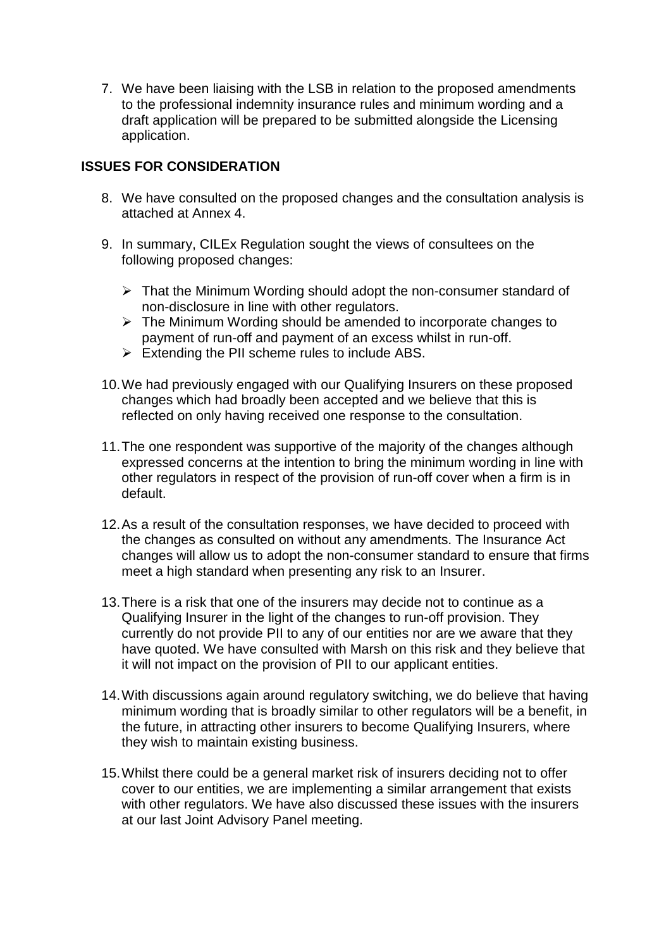7. We have been liaising with the LSB in relation to the proposed amendments to the professional indemnity insurance rules and minimum wording and a draft application will be prepared to be submitted alongside the Licensing application.

## **ISSUES FOR CONSIDERATION**

- 8. We have consulted on the proposed changes and the consultation analysis is attached at Annex 4.
- 9. In summary, CILEx Regulation sought the views of consultees on the following proposed changes:
	- $\triangleright$  That the Minimum Wording should adopt the non-consumer standard of non-disclosure in line with other regulators.
	- $\triangleright$  The Minimum Wording should be amended to incorporate changes to payment of run-off and payment of an excess whilst in run-off.
	- $\triangleright$  Extending the PII scheme rules to include ABS.
- 10.We had previously engaged with our Qualifying Insurers on these proposed changes which had broadly been accepted and we believe that this is reflected on only having received one response to the consultation.
- 11.The one respondent was supportive of the majority of the changes although expressed concerns at the intention to bring the minimum wording in line with other regulators in respect of the provision of run-off cover when a firm is in default.
- 12.As a result of the consultation responses, we have decided to proceed with the changes as consulted on without any amendments. The Insurance Act changes will allow us to adopt the non-consumer standard to ensure that firms meet a high standard when presenting any risk to an Insurer.
- 13.There is a risk that one of the insurers may decide not to continue as a Qualifying Insurer in the light of the changes to run-off provision. They currently do not provide PII to any of our entities nor are we aware that they have quoted. We have consulted with Marsh on this risk and they believe that it will not impact on the provision of PII to our applicant entities.
- 14.With discussions again around regulatory switching, we do believe that having minimum wording that is broadly similar to other regulators will be a benefit, in the future, in attracting other insurers to become Qualifying Insurers, where they wish to maintain existing business.
- 15.Whilst there could be a general market risk of insurers deciding not to offer cover to our entities, we are implementing a similar arrangement that exists with other regulators. We have also discussed these issues with the insurers at our last Joint Advisory Panel meeting.